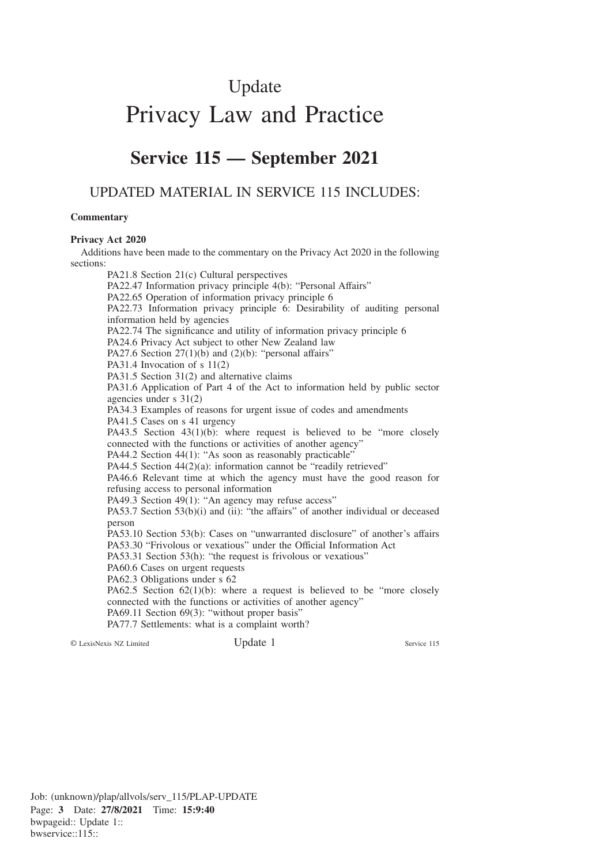# Update Privacy Law and Practice

## **Service 115 — September 2021**

## UPDATED MATERIAL IN SERVICE 115 INCLUDES:

#### **Commentary**

### **Privacy Act 2020**

Additions have been made to the commentary on the Privacy Act 2020 in the following sections:

PA21.8 Section 21(c) Cultural perspectives

PA22.47 Information privacy principle 4(b): "Personal Affairs"

PA22.65 Operation of information privacy principle 6

PA22.73 Information privacy principle 6: Desirability of auditing personal information held by agencies

PA22.74 The significance and utility of information privacy principle 6

PA24.6 Privacy Act subject to other New Zealand law

PA27.6 Section  $27(1)(b)$  and  $(2)(b)$ : "personal affairs"

PA31.4 Invocation of s 11(2)

PA31.5 Section 31(2) and alternative claims

PA31.6 Application of Part 4 of the Act to information held by public sector agencies under s 31(2)

PA34.3 Examples of reasons for urgent issue of codes and amendments

PA41.5 Cases on s 41 urgency

PA43.5 Section 43(1)(b): where request is believed to be "more closely connected with the functions or activities of another agency"

PA44.2 Section 44(1): "As soon as reasonably practicable"

PA44.5 Section 44(2)(a): information cannot be "readily retrieved"

PA46.6 Relevant time at which the agency must have the good reason for refusing access to personal information

PA49.3 Section 49(1): "An agency may refuse access"

PA53.7 Section 53(b)(i) and (ii): "the affairs" of another individual or deceased person

PA53.10 Section 53(b): Cases on "unwarranted disclosure" of another's affairs PA53.30 "Frivolous or vexatious" under the Official Information Act

PA53.31 Section 53(h): "the request is frivolous or vexatious"

PA60.6 Cases on urgent requests

PA62.3 Obligations under s 62

PA62.5 Section  $62(1)(b)$ : where a request is believed to be "more closely connected with the functions or activities of another agency"

PA69.11 Section 69(3): "without proper basis"

PA77.7 Settlements: what is a complaint worth?